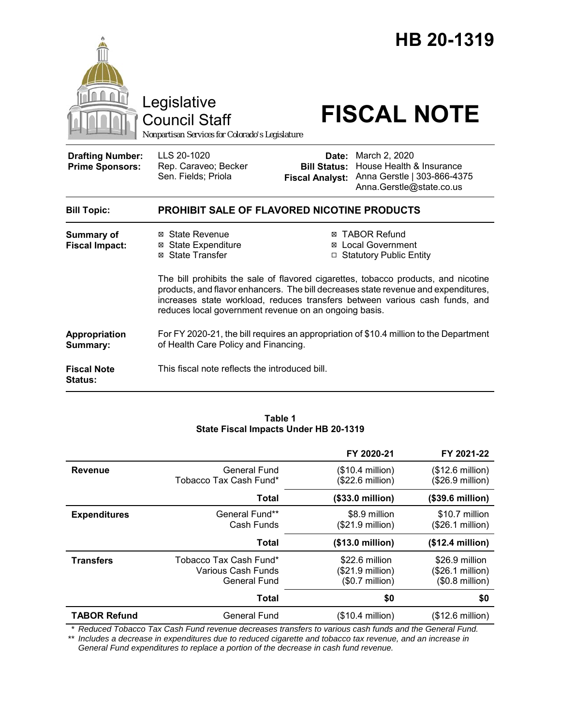

**Fiscal Note Status:** This fiscal note reflects the introduced bill.

#### **Table 1 State Fiscal Impacts Under HB 20-1319**

|                     |                                                                     | FY 2020-21                                                      | FY 2021-22                                                     |
|---------------------|---------------------------------------------------------------------|-----------------------------------------------------------------|----------------------------------------------------------------|
| <b>Revenue</b>      | <b>General Fund</b><br>Tobacco Tax Cash Fund*                       | $($10.4$ million)<br>$($22.6 \text{ million})$                  | (\$12.6 million)<br>$($26.9 \text{ million})$                  |
|                     | Total                                                               | $($33.0 \text{ million})$                                       | (\$39.6 million)                                               |
| <b>Expenditures</b> | General Fund**<br>Cash Funds                                        | \$8.9 million<br>$($21.9 \text{ million})$                      | \$10.7 million<br>(\$26.1 million)                             |
|                     | Total                                                               | (\$13.0 million)                                                | (\$12.4 million)                                               |
| <b>Transfers</b>    | Tobacco Tax Cash Fund*<br>Various Cash Funds<br><b>General Fund</b> | \$22.6 million<br>$($21.9 \text{ million})$<br>$($0.7$ million) | \$26.9 million<br>$($26.1 \text{ million})$<br>$$0.8$ million) |
|                     | <b>Total</b>                                                        | \$0                                                             | \$0                                                            |
| <b>TABOR Refund</b> | General Fund                                                        | $($10.4$ million)                                               | (\$12.6 million)                                               |

*\* Reduced Tobacco Tax Cash Fund revenue decreases transfers to various cash funds and the General Fund.*

*\*\* Includes a decrease in expenditures due to reduced cigarette and tobacco tax revenue, and an increase in General Fund expenditures to replace a portion of the decrease in cash fund revenue.*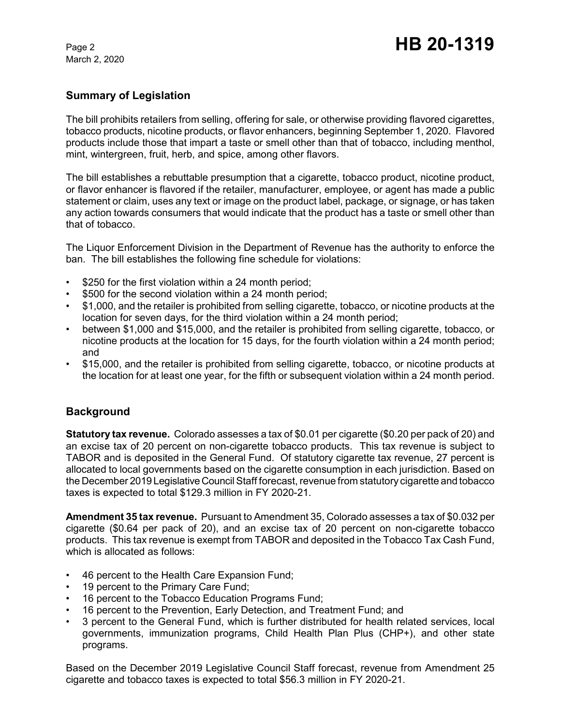## **Summary of Legislation**

The bill prohibits retailers from selling, offering for sale, or otherwise providing flavored cigarettes, tobacco products, nicotine products, or flavor enhancers, beginning September 1, 2020. Flavored products include those that impart a taste or smell other than that of tobacco, including menthol, mint, wintergreen, fruit, herb, and spice, among other flavors.

The bill establishes a rebuttable presumption that a cigarette, tobacco product, nicotine product, or flavor enhancer is flavored if the retailer, manufacturer, employee, or agent has made a public statement or claim, uses any text or image on the product label, package, or signage, or has taken any action towards consumers that would indicate that the product has a taste or smell other than that of tobacco.

The Liquor Enforcement Division in the Department of Revenue has the authority to enforce the ban. The bill establishes the following fine schedule for violations:

- \$250 for the first violation within a 24 month period;
- \$500 for the second violation within a 24 month period;
- \$1,000, and the retailer is prohibited from selling cigarette, tobacco, or nicotine products at the location for seven days, for the third violation within a 24 month period;
- between \$1,000 and \$15,000, and the retailer is prohibited from selling cigarette, tobacco, or nicotine products at the location for 15 days, for the fourth violation within a 24 month period; and
- \$15,000, and the retailer is prohibited from selling cigarette, tobacco, or nicotine products at the location for at least one year, for the fifth or subsequent violation within a 24 month period.

# **Background**

**Statutory tax revenue.** Colorado assesses a tax of \$0.01 per cigarette (\$0.20 per pack of 20) and an excise tax of 20 percent on non-cigarette tobacco products. This tax revenue is subject to TABOR and is deposited in the General Fund. Of statutory cigarette tax revenue, 27 percent is allocated to local governments based on the cigarette consumption in each jurisdiction. Based on the December 2019 Legislative Council Staff forecast, revenue from statutory cigarette and tobacco taxes is expected to total \$129.3 million in FY 2020-21.

**Amendment 35 tax revenue.** Pursuant to Amendment 35, Colorado assesses a tax of \$0.032 per cigarette (\$0.64 per pack of 20), and an excise tax of 20 percent on non-cigarette tobacco products. This tax revenue is exempt from TABOR and deposited in the Tobacco Tax Cash Fund, which is allocated as follows:

- 46 percent to the Health Care Expansion Fund;
- 19 percent to the Primary Care Fund;
- 16 percent to the Tobacco Education Programs Fund;
- 16 percent to the Prevention, Early Detection, and Treatment Fund; and
- 3 percent to the General Fund, which is further distributed for health related services, local governments, immunization programs, Child Health Plan Plus (CHP+), and other state programs.

Based on the December 2019 Legislative Council Staff forecast, revenue from Amendment 25 cigarette and tobacco taxes is expected to total \$56.3 million in FY 2020-21.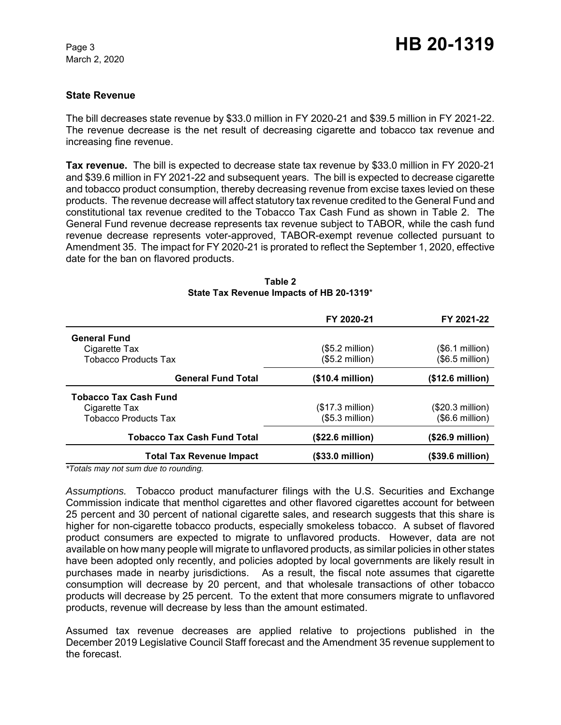#### **State Revenue**

The bill decreases state revenue by \$33.0 million in FY 2020-21 and \$39.5 million in FY 2021-22. The revenue decrease is the net result of decreasing cigarette and tobacco tax revenue and increasing fine revenue.

**Tax revenue.** The bill is expected to decrease state tax revenue by \$33.0 million in FY 2020-21 and \$39.6 million in FY 2021-22 and subsequent years. The bill is expected to decrease cigarette and tobacco product consumption, thereby decreasing revenue from excise taxes levied on these products. The revenue decrease will affect statutory tax revenue credited to the General Fund and constitutional tax revenue credited to the Tobacco Tax Cash Fund as shown in Table 2. The General Fund revenue decrease represents tax revenue subject to TABOR, while the cash fund revenue decrease represents voter-approved, TABOR-exempt revenue collected pursuant to Amendment 35. The impact for FY 2020-21 is prorated to reflect the September 1, 2020, effective date for the ban on flavored products.

|                                    | FY 2020-21           | FY 2021-22                |
|------------------------------------|----------------------|---------------------------|
| <b>General Fund</b>                |                      |                           |
| Cigarette Tax                      | $(\$5.2$ million $)$ | $(S6.1 \text{ million})$  |
| <b>Tobacco Products Tax</b>        | $($5.2$ million $)$  | $(\$6.5$ million)         |
| <b>General Fund Total</b>          | (\$10.4 million)     | (\$12.6 million)          |
| <b>Tobacco Tax Cash Fund</b>       |                      |                           |
| Cigarette Tax                      | (\$17.3 million)     | $(S20.3$ million)         |
| <b>Tobacco Products Tax</b>        | $($5.3$ million $)$  | $(\$6.6$ million)         |
| <b>Tobacco Tax Cash Fund Total</b> | (\$22.6 million)     | $($26.9 \text{ million})$ |
| <b>Total Tax Revenue Impact</b>    | (\$33.0 million)     | (\$39.6 million)          |

| Table 2                                  |  |  |  |  |  |
|------------------------------------------|--|--|--|--|--|
| State Tax Revenue Impacts of HB 20-1319* |  |  |  |  |  |

*\*Totals may not sum due to rounding.*

*Assumptions.* Tobacco product manufacturer filings with the U.S. Securities and Exchange Commission indicate that menthol cigarettes and other flavored cigarettes account for between 25 percent and 30 percent of national cigarette sales, and research suggests that this share is higher for non-cigarette tobacco products, especially smokeless tobacco. A subset of flavored product consumers are expected to migrate to unflavored products. However, data are not available on how many people will migrate to unflavored products, as similar policies in other states have been adopted only recently, and policies adopted by local governments are likely result in purchases made in nearby jurisdictions. As a result, the fiscal note assumes that cigarette consumption will decrease by 20 percent, and that wholesale transactions of other tobacco products will decrease by 25 percent. To the extent that more consumers migrate to unflavored products, revenue will decrease by less than the amount estimated.

Assumed tax revenue decreases are applied relative to projections published in the December 2019 Legislative Council Staff forecast and the Amendment 35 revenue supplement to the forecast.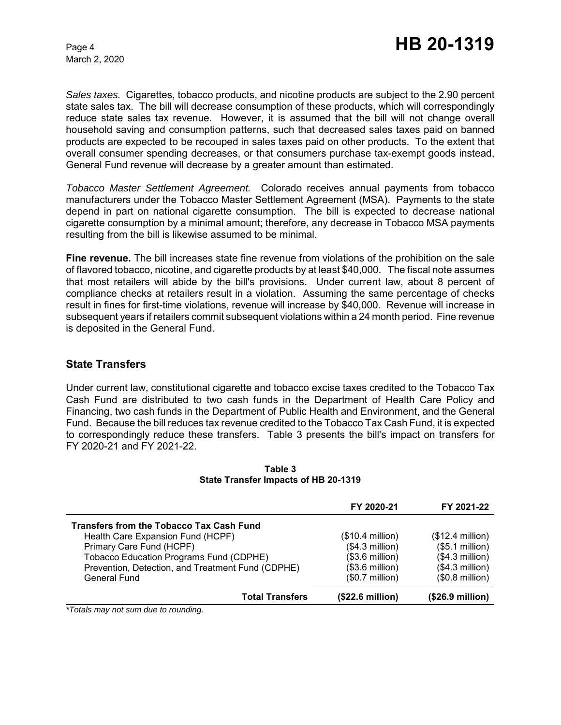*Sales taxes.* Cigarettes, tobacco products, and nicotine products are subject to the 2.90 percent state sales tax. The bill will decrease consumption of these products, which will correspondingly reduce state sales tax revenue. However, it is assumed that the bill will not change overall household saving and consumption patterns, such that decreased sales taxes paid on banned products are expected to be recouped in sales taxes paid on other products. To the extent that overall consumer spending decreases, or that consumers purchase tax-exempt goods instead, General Fund revenue will decrease by a greater amount than estimated.

*Tobacco Master Settlement Agreement.* Colorado receives annual payments from tobacco manufacturers under the Tobacco Master Settlement Agreement (MSA). Payments to the state depend in part on national cigarette consumption. The bill is expected to decrease national cigarette consumption by a minimal amount; therefore, any decrease in Tobacco MSA payments resulting from the bill is likewise assumed to be minimal.

**Fine revenue.** The bill increases state fine revenue from violations of the prohibition on the sale of flavored tobacco, nicotine, and cigarette products by at least \$40,000. The fiscal note assumes that most retailers will abide by the bill's provisions. Under current law, about 8 percent of compliance checks at retailers result in a violation. Assuming the same percentage of checks result in fines for first-time violations, revenue will increase by \$40,000. Revenue will increase in subsequent years if retailers commit subsequent violations within a 24 month period. Fine revenue is deposited in the General Fund.

### **State Transfers**

Under current law, constitutional cigarette and tobacco excise taxes credited to the Tobacco Tax Cash Fund are distributed to two cash funds in the Department of Health Care Policy and Financing, two cash funds in the Department of Public Health and Environment, and the General Fund. Because the bill reduces tax revenue credited to the Tobacco Tax Cash Fund, it is expected to correspondingly reduce these transfers. Table 3 presents the bill's impact on transfers for FY 2020-21 and FY 2021-22.

|                                                   | FY 2020-21        | FY 2021-22        |
|---------------------------------------------------|-------------------|-------------------|
| <b>Transfers from the Tobacco Tax Cash Fund</b>   |                   |                   |
| Health Care Expansion Fund (HCPF)                 | $($10.4$ million) | $($12.4$ million) |
| Primary Care Fund (HCPF)                          | $($4.3$ million)  | (\$5.1 million)   |
| Tobacco Education Programs Fund (CDPHE)           | $($3.6$ million)  | $($4.3$ million)  |
| Prevention, Detection, and Treatment Fund (CDPHE) | $($3.6$ million)  | $($4.3$ million)  |
| <b>General Fund</b>                               | $($0.7$ million)  | $($0.8$ million)  |
| <b>Total Transfers</b>                            | (\$22.6 million)  | (\$26.9 million)  |

**Table 3 State Transfer Impacts of HB 20-1319**

*\*Totals may not sum due to rounding.*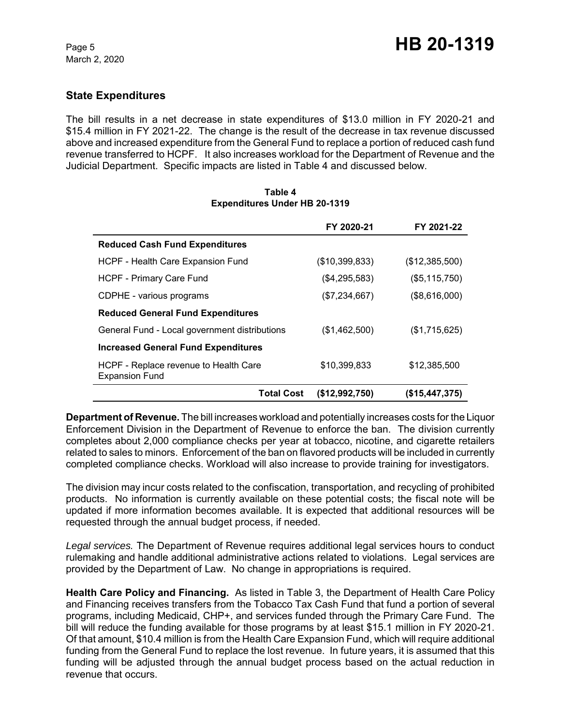## **State Expenditures**

The bill results in a net decrease in state expenditures of \$13.0 million in FY 2020-21 and \$15.4 million in FY 2021-22. The change is the result of the decrease in tax revenue discussed above and increased expenditure from the General Fund to replace a portion of reduced cash fund revenue transferred to HCPF. It also increases workload for the Department of Revenue and the Judicial Department. Specific impacts are listed in Table 4 and discussed below.

|                                                                | FY 2020-21     | FY 2021-22     |
|----------------------------------------------------------------|----------------|----------------|
| <b>Reduced Cash Fund Expenditures</b>                          |                |                |
| HCPF - Health Care Expansion Fund                              | (\$10,399,833) | (\$12,385,500) |
| <b>HCPF - Primary Care Fund</b>                                | (\$4,295,583)  | (\$5,115,750)  |
| CDPHE - various programs                                       | (S7, 234, 667) | (\$8,616,000)  |
| <b>Reduced General Fund Expenditures</b>                       |                |                |
| General Fund - Local government distributions                  | (\$1,462,500)  | (\$1,715,625)  |
| <b>Increased General Fund Expenditures</b>                     |                |                |
| HCPF - Replace revenue to Health Care<br><b>Expansion Fund</b> | \$10,399,833   | \$12,385,500   |
| <b>Total Cost</b>                                              | (\$12,992,750) | (\$15,447,375) |

#### **Table 4 Expenditures Under HB 20-1319**

**Department of Revenue.** The bill increases workload and potentially increases costs for the Liquor Enforcement Division in the Department of Revenue to enforce the ban. The division currently completes about 2,000 compliance checks per year at tobacco, nicotine, and cigarette retailers related to sales to minors. Enforcement of the ban on flavored products will be included in currently completed compliance checks. Workload will also increase to provide training for investigators.

The division may incur costs related to the confiscation, transportation, and recycling of prohibited products. No information is currently available on these potential costs; the fiscal note will be updated if more information becomes available. It is expected that additional resources will be requested through the annual budget process, if needed.

*Legal services.* The Department of Revenue requires additional legal services hours to conduct rulemaking and handle additional administrative actions related to violations. Legal services are provided by the Department of Law. No change in appropriations is required.

**Health Care Policy and Financing.** As listed in Table 3, the Department of Health Care Policy and Financing receives transfers from the Tobacco Tax Cash Fund that fund a portion of several programs, including Medicaid, CHP+, and services funded through the Primary Care Fund. The bill will reduce the funding available for those programs by at least \$15.1 million in FY 2020-21. Of that amount, \$10.4 million is from the Health Care Expansion Fund, which will require additional funding from the General Fund to replace the lost revenue. In future years, it is assumed that this funding will be adjusted through the annual budget process based on the actual reduction in revenue that occurs.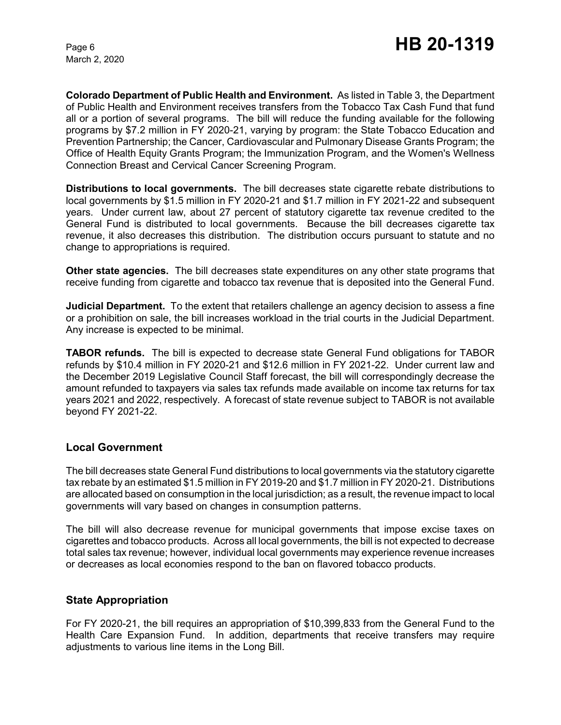**Colorado Department of Public Health and Environment.** As listed in Table 3, the Department of Public Health and Environment receives transfers from the Tobacco Tax Cash Fund that fund all or a portion of several programs. The bill will reduce the funding available for the following programs by \$7.2 million in FY 2020-21, varying by program: the State Tobacco Education and Prevention Partnership; the Cancer, Cardiovascular and Pulmonary Disease Grants Program; the Office of Health Equity Grants Program; the Immunization Program, and the Women's Wellness Connection Breast and Cervical Cancer Screening Program.

**Distributions to local governments.** The bill decreases state cigarette rebate distributions to local governments by \$1.5 million in FY 2020-21 and \$1.7 million in FY 2021-22 and subsequent years. Under current law, about 27 percent of statutory cigarette tax revenue credited to the General Fund is distributed to local governments. Because the bill decreases cigarette tax revenue, it also decreases this distribution. The distribution occurs pursuant to statute and no change to appropriations is required.

**Other state agencies.** The bill decreases state expenditures on any other state programs that receive funding from cigarette and tobacco tax revenue that is deposited into the General Fund.

**Judicial Department.** To the extent that retailers challenge an agency decision to assess a fine or a prohibition on sale, the bill increases workload in the trial courts in the Judicial Department. Any increase is expected to be minimal.

**TABOR refunds.** The bill is expected to decrease state General Fund obligations for TABOR refunds by \$10.4 million in FY 2020-21 and \$12.6 million in FY 2021-22. Under current law and the December 2019 Legislative Council Staff forecast, the bill will correspondingly decrease the amount refunded to taxpayers via sales tax refunds made available on income tax returns for tax years 2021 and 2022, respectively. A forecast of state revenue subject to TABOR is not available beyond FY 2021-22.

### **Local Government**

The bill decreases state General Fund distributions to local governments via the statutory cigarette tax rebate by an estimated \$1.5 million in FY 2019-20 and \$1.7 million in FY 2020-21. Distributions are allocated based on consumption in the local jurisdiction; as a result, the revenue impact to local governments will vary based on changes in consumption patterns.

The bill will also decrease revenue for municipal governments that impose excise taxes on cigarettes and tobacco products. Across all local governments, the bill is not expected to decrease total sales tax revenue; however, individual local governments may experience revenue increases or decreases as local economies respond to the ban on flavored tobacco products.

### **State Appropriation**

For FY 2020-21, the bill requires an appropriation of \$10,399,833 from the General Fund to the Health Care Expansion Fund. In addition, departments that receive transfers may require adjustments to various line items in the Long Bill.